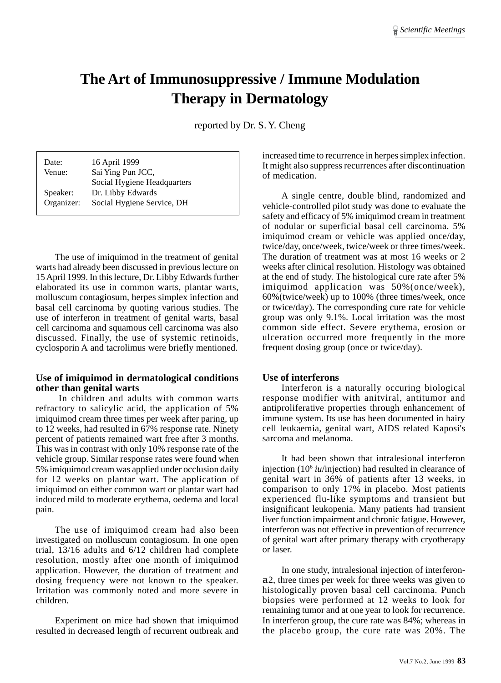# **The Art of Immunosuppressive / Immune Modulation Therapy in Dermatology**

reported by Dr. S. Y. Cheng

| Date:      | 16 April 1999               |
|------------|-----------------------------|
| Venue:     | Sai Ying Pun JCC,           |
|            | Social Hygiene Headquarters |
| Speaker:   | Dr. Libby Edwards           |
| Organizer: | Social Hygiene Service, DH  |
|            |                             |

The use of imiquimod in the treatment of genital warts had already been discussed in previous lecture on 15 April 1999. In this lecture, Dr. Libby Edwards further elaborated its use in common warts, plantar warts, molluscum contagiosum, herpes simplex infection and basal cell carcinoma by quoting various studies. The use of interferon in treatment of genital warts, basal cell carcinoma and squamous cell carcinoma was also discussed. Finally, the use of systemic retinoids, cyclosporin A and tacrolimus were briefly mentioned.

### **Use of imiquimod in dermatological conditions other than genital warts**

 In children and adults with common warts refractory to salicylic acid, the application of 5% imiquimod cream three times per week after paring, up to 12 weeks, had resulted in 67% response rate. Ninety percent of patients remained wart free after 3 months. This was in contrast with only 10% response rate of the vehicle group. Similar response rates were found when 5% imiquimod cream was applied under occlusion daily for 12 weeks on plantar wart. The application of imiquimod on either common wart or plantar wart had induced mild to moderate erythema, oedema and local pain.

The use of imiquimod cream had also been investigated on molluscum contagiosum. In one open trial, 13/16 adults and 6/12 children had complete resolution, mostly after one month of imiquimod application. However, the duration of treatment and dosing frequency were not known to the speaker. Irritation was commonly noted and more severe in children.

Experiment on mice had shown that imiquimod resulted in decreased length of recurrent outbreak and

increased time to recurrence in herpes simplex infection. It might also suppress recurrences after discontinuation of medication.

A single centre, double blind, randomized and vehicle-controlled pilot study was done to evaluate the safety and efficacy of 5% imiquimod cream in treatment of nodular or superficial basal cell carcinoma. 5% imiquimod cream or vehicle was applied once/day, twice/day, once/week, twice/week or three times/week. The duration of treatment was at most 16 weeks or 2 weeks after clinical resolution. Histology was obtained at the end of study. The histological cure rate after 5% imiquimod application was 50%(once/week), 60%(twice/week) up to 100% (three times/week, once or twice/day). The corresponding cure rate for vehicle group was only 9.1%. Local irritation was the most common side effect. Severe erythema, erosion or ulceration occurred more frequently in the more frequent dosing group (once or twice/day).

#### **Use of interferons**

Interferon is a naturally occuring biological response modifier with anitviral, antitumor and antiproliferative properties through enhancement of immune system. Its use has been documented in hairy cell leukaemia, genital wart, AIDS related Kaposi's sarcoma and melanoma.

It had been shown that intralesional interferon injection (106 *iu*/injection) had resulted in clearance of genital wart in 36% of patients after 13 weeks, in comparison to only 17% in placebo. Most patients experienced flu-like symptoms and transient but insignificant leukopenia. Many patients had transient liver function impairment and chronic fatigue. However, interferon was not effective in prevention of recurrence of genital wart after primary therapy with cryotherapy or laser.

In one study, intralesional injection of interferona2, three times per week for three weeks was given to histologically proven basal cell carcinoma. Punch biopsies were performed at 12 weeks to look for remaining tumor and at one year to look for recurrence. In interferon group, the cure rate was 84%; whereas in the placebo group, the cure rate was 20%. The